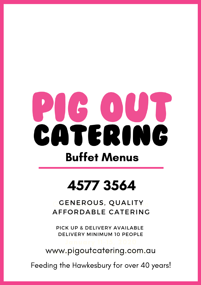# $\begin{array}{c} \hline \end{array}$ CATERING Buffet Menus

# 4577 3564

 $_{\odot}$ GENEROUS, QUALITY $_{\odot}$ AFFORDABLE CATERING

PICK UP & DELIVERY AVAILABLE DELIVERY MINIMUM 10 PEOPLE

www.pigoutcatering.com.au

Feeding the Hawkesbury for over 40 years!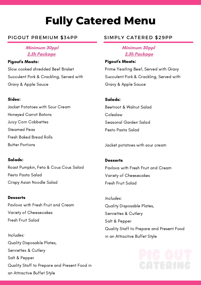# **Fully Catered Menu**

### PIGOUT PREMIUM \$34PP

### **Minimum 30ppl 2.5h Package**

Pigout's Meats: Slow cooked shredded Beef Brisket Succulent Pork & Crackling, Served with Gravy & Apple Sauce

### Sides:

Jacket Potatoes with Sour Cream Honeyed Carrot Batons Juicy Corn Cobbettes Steamed Peas Fresh Baked Bread Rolls Butter Portions

### Salads:

Roast Pumpkin, Feta & Cous Cous Salad Pesto Pasta Salad Crispy Asian Noodle Salad

### **Desserts**

Pavlova with Fresh Fruit and Cream Variety of Cheesecakes Fresh Fruit Salad

Includes: Quality Disposable Plates, Serviettes & Cutlery Salt & Pepper Quality Staff to Prepare and Present Food in an Attractive Buffet Style

### SIMPLY CATERED \$29PP

**Minimum 30ppl 2.5h Package**

Pigout's Meats: Prime Yearling Beef, Served with Gravy Succulent Pork & Crackling, Served with Gravy & Apple Sauce

### Salads:

Beetroot & Walnut Salad Coleslaw Seasonal Garden Salad Pesto Pasta Salad

Jacket potatoes with sour cream

**Desserts** Pavlova with Fresh Fruit and Cream Variety of Cheesecakes Fresh Fruit Salad

Includes: Quality Disposable Plates, Serviettes & Cutlery Salt & Pepper Quality Staff to Prepare and Present Food in an Attractive Buffet Style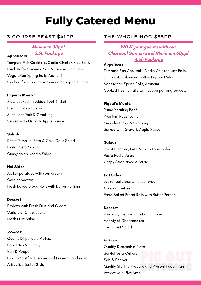# **Fully Catered Menu**

### **Minimum 30ppl 3.5h Package**

Appetisers

Tempura Fish Cocktails, Garlic Chicken Kiev Balls, Lamb Kofta Skewers, Salt & Pepper Calamari, Vegetarian Spring Rolls, Arancini Cooked fresh on site with accompanying sauces.

### Pigout's Meats:

Slow cooked shredded Beef Brisket Premium Roast Lamb Succulent Pork & Crackling Served with Gravy & Apple Sauce

### Salads

Roast Pumpkin, Feta & Cous Cous Salad Pesto Pasta Salad Crispy Asian Noodle Salad

Hot Sides Jacket potatoes with sour cream Corn cobbettes Fresh Baked Bread Rolls with Butter Portions

**Dessert** Pavlova with Fresh Fruit and Cream Variety of Cheesecakes Fresh Fruit Salad

Includes: Quality Disposable Plates, Serviettes & Cutlery Salt & Pepper Quality Staff to Prepare and Present Food in an Attractive Buffet Style

### 3 COURSE FEAST \$41PP THE WHOLE HOG \$55PP

### **WOW your guests with our Charcoal Spit on-site! Minimum 60ppl 4.5h Package**

### **Appetisers**

Tempura Fish Cocktails, Garlic Chicken Kiev Balls, Lamb Kofta Skewers, Salt & Pepper Calamari, Vegetarian Spring Rolls, Arancini Cooked fresh on site with accompanying sauces.

### Pigout's Meats:

Prime Yearling Beef Premium Roast Lamb Succulent Pork & Crackling Served with Gravy & Apple Sauce

Salads Roast Pumpkin, Feta & Cous Cous Salad Pesto Pasta Salad Crispy Asian Noodle Salad

Hot Sides Jacket potatoes with sour cream Corn cobbettes Fresh Baked Bread Rolls with Butter Portions

Dessert Pavlova with Fresh Fruit and Cream Variety of Cheesecakes Fresh Fruit Salad

Includes: Quality Disposable Plates, Serviettes & Cutlery Salt & Pepper Quality Staff to Prepare and Present Food in an Attractive Buffet Style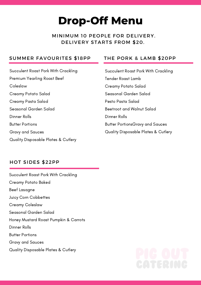### **Drop-Off Menu**

### MINIMUM 10 PEOPLE FOR DELIVERY. DELIVERY STARTS FROM \$20.

### SUMMER FAVOURITES \$18PP THE PORK & LAMB \$20PP

Succulent Roast Pork With Crackling Premium Yearling Roast Beef Coleslaw Creamy Potato Salad Creamy Pasta Salad Seasonal Garden Salad Dinner Rolls Butter Portions Gravy and Sauces Quality Disposable Plates & Cutlery

Succulent Roast Pork With Crackling Tender Roast Lamb Creamy Potato Salad Seasonal Garden Salad Pesto Pasta Salad Beetroot and Walnut Salad Dinner Rolls Butter PortionsGravy and Sauces Quality Disposable Plates & Cutlery

### HOT SIDES \$22PP

Succulent Roast Pork With Crackling Creamy Potato Baked Beef Lasagne Juicy Corn Cobbettes Creamy Coleslaw Seasonal Garden Salad Honey Mustard Roast Pumpkin & Carrots Dinner Rolls Butter Portions Gravy and Sauces Quality Disposable Plates & Cutlery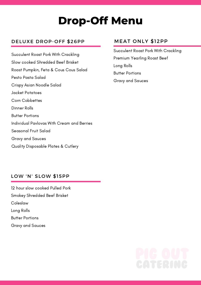## **Drop-Off Menu**

### DELUXE DROP-OFF \$26PP

Succulent Roast Pork With Crackling Slow cooked Shredded Beef Brisket Roast Pumpkin, Feta & Cous Cous Salad Pesto Pasta Salad Crispy Asian Noodle Salad Jacket Potatoes Corn Cobbettes Dinner Rolls Butter Portions Individual Pavlovas With Cream and Berries Seasonal Fruit Salad Gravy and Sauces Quality Disposable Plates & Cutlery

### MEAT ONLY \$12PP

Succulent Roast Pork With Crackling Premium Yearling Roast Beef Long Rolls Butter Portions Gravy and Sauces

### LOW 'N' SLOW \$15PP

12 hour slow cooked Pulled Pork Smokey Shredded Beef Brisket Coleslaw Long Rolls Butter Portions Gravy and Sauces